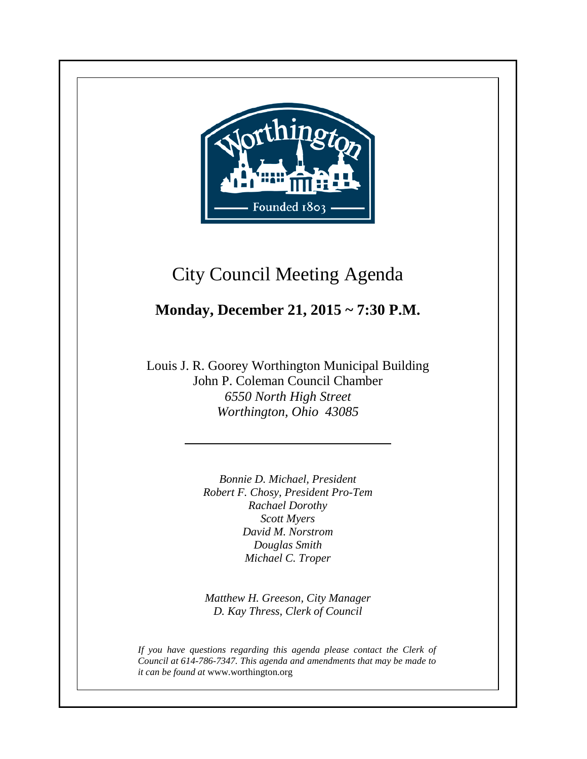

**+**

# City Council Meeting Agenda

# **Monday, December 21, 2015 ~ 7:30 P.M.**

Louis J. R. Goorey Worthington Municipal Building John P. Coleman Council Chamber *6550 North High Street Worthington, Ohio 43085*

> *Bonnie D. Michael, President Robert F. Chosy, President Pro-Tem Rachael Dorothy Scott Myers David M. Norstrom Douglas Smith Michael C. Troper*

> *Matthew H. Greeson, City Manager D. Kay Thress, Clerk of Council*

*If you have questions regarding this agenda please contact the Clerk of Council at 614-786-7347. This agenda and amendments that may be made to it can be found at* www.worthington.org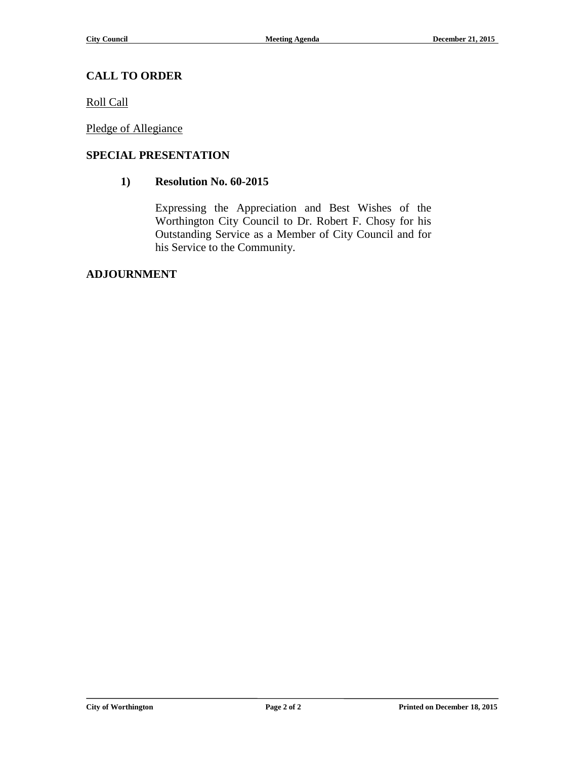## **CALL TO ORDER**

Roll Call

Pledge of Allegiance

### **SPECIAL PRESENTATION**

### **1) Resolution No. 60-2015**

Expressing the Appreciation and Best Wishes of the Worthington City Council to Dr. Robert F. Chosy for his Outstanding Service as a Member of City Council and for his Service to the Community.

#### **ADJOURNMENT**